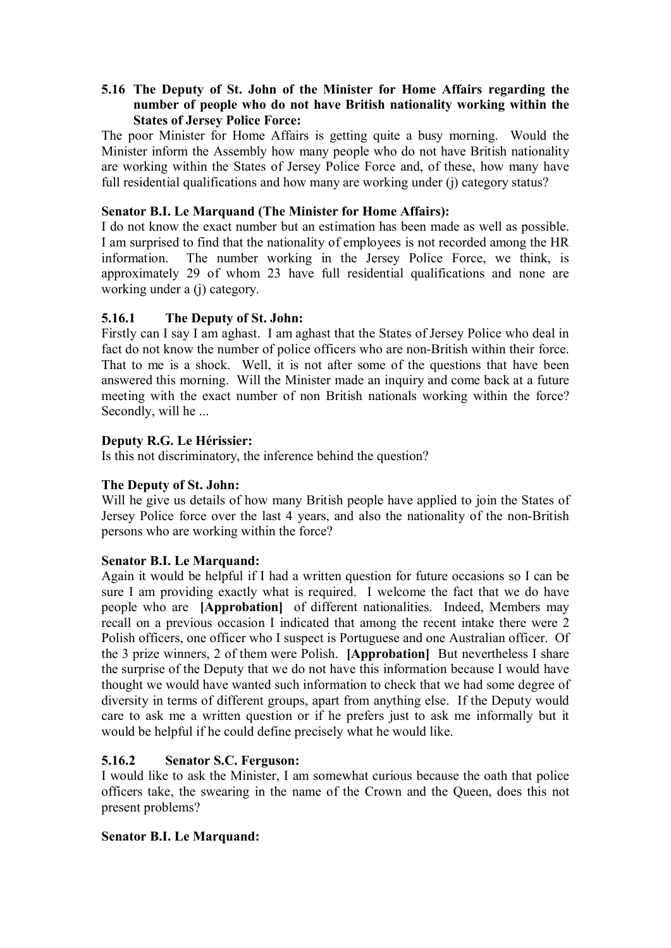## **5.16 The Deputy of St. John of the Minister for Home Affairs regarding the number of people who do not have British nationality working within the States of Jersey Police Force:**

The poor Minister for Home Affairs is getting quite a busy morning. Would the Minister inform the Assembly how many people who do not have British nationality are working within the States of Jersey Police Force and, of these, how many have full residential qualifications and how many are working under (j) category status?

#### **Senator B.I. Le Marquand (The Minister for Home Affairs):**

I do not know the exact number but an estimation has been made as well as possible. I am surprised to find that the nationality of employees is not recorded among the HR information. The number working in the Jersey Police Force, we think, is approximately 29 of whom 23 have full residential qualifications and none are working under a (j) category.

### **5.16.1 The Deputy of St. John:**

Firstly can I say I am aghast. I am aghast that the States of Jersey Police who deal in fact do not know the number of police officers who are non-British within their force. That to me is a shock. Well, it is not after some of the questions that have been answered this morning. Will the Minister made an inquiry and come back at a future meeting with the exact number of non British nationals working within the force? Secondly, will he ...

### **Deputy R.G. Le Hérissier:**

Is this not discriminatory, the inference behind the question?

#### **The Deputy of St. John:**

Will he give us details of how many British people have applied to join the States of Jersey Police force over the last 4 years, and also the nationality of the non-British persons who are working within the force?

#### **Senator B.I. Le Marquand:**

 people who are **[Approbation]** of different nationalities. Indeed, Members may the 3 prize winners, 2 of them were Polish. **[Approbation]** But nevertheless I share Again it would be helpful if I had a written question for future occasions so I can be sure I am providing exactly what is required. I welcome the fact that we do have recall on a previous occasion I indicated that among the recent intake there were 2 Polish officers, one officer who I suspect is Portuguese and one Australian officer. Of the surprise of the Deputy that we do not have this information because I would have thought we would have wanted such information to check that we had some degree of diversity in terms of different groups, apart from anything else. If the Deputy would care to ask me a written question or if he prefers just to ask me informally but it would be helpful if he could define precisely what he would like.

#### **5.16.2 Senator S.C. Ferguson:**

I would like to ask the Minister, I am somewhat curious because the oath that police officers take, the swearing in the name of the Crown and the Queen, does this not present problems?

#### **Senator B.I. Le Marquand:**